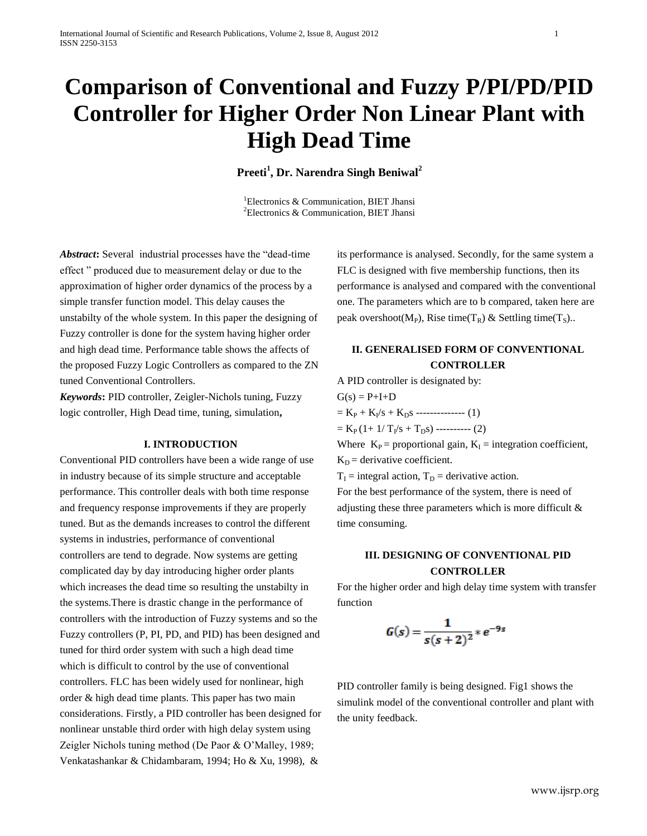# **Comparison of Conventional and Fuzzy P/PI/PD/PID Controller for Higher Order Non Linear Plant with High Dead Time**

## **Preeti<sup>1</sup> , Dr. Narendra Singh Beniwal<sup>2</sup>**

<sup>1</sup>Electronics & Communication, BIET Jhansi <sup>2</sup>Electronics & Communication, BIET Jhansi

*Abstract***:** Several industrial processes have the "dead-time effect " produced due to measurement delay or due to the approximation of higher order dynamics of the process by a simple transfer function model. This delay causes the unstabilty of the whole system. In this paper the designing of Fuzzy controller is done for the system having higher order and high dead time. Performance table shows the affects of the proposed Fuzzy Logic Controllers as compared to the ZN tuned Conventional Controllers.

*Keywords***:** PID controller, Zeigler-Nichols tuning, Fuzzy logic controller, High Dead time, tuning, simulation**,**

#### **I. INTRODUCTION**

Conventional PID controllers have been a wide range of use in industry because of its simple structure and acceptable performance. This controller deals with both time response and frequency response improvements if they are properly tuned. But as the demands increases to control the different systems in industries, performance of conventional controllers are tend to degrade. Now systems are getting complicated day by day introducing higher order plants which increases the dead time so resulting the unstabilty in the systems.There is drastic change in the performance of controllers with the introduction of Fuzzy systems and so the Fuzzy controllers (P, PI, PD, and PID) has been designed and tuned for third order system with such a high dead time which is difficult to control by the use of conventional controllers. FLC has been widely used for nonlinear, high order & high dead time plants. This paper has two main considerations. Firstly, a PID controller has been designed for nonlinear unstable third order with high delay system using Zeigler Nichols tuning method (De Paor & O'Malley, 1989; Venkatashankar & Chidambaram, 1994; Ho & Xu, 1998), &

its performance is analysed. Secondly, for the same system a FLC is designed with five membership functions, then its performance is analysed and compared with the conventional one. The parameters which are to b compared, taken here are peak overshoot( $M_P$ ), Rise time( $T_R$ ) & Settling time( $T_S$ )..

# **II. GENERALISED FORM OF CONVENTIONAL CONTROLLER**

A PID controller is designated by:

 $G(s) = P + I + D$ 

 $= K_{P} + K_{I} / s + K_{D} s$  -------------- (1)  $= K_P (1 + 1/T_I/s + T_D s)$  ---------- (2)

Where  $K_P$  = proportional gain,  $K_I$  = integration coefficient,  $K_D$  = derivative coefficient.

 $T_I$  = integral action,  $T_D$  = derivative action.

For the best performance of the system, there is need of adjusting these three parameters which is more difficult & time consuming.

## **III. DESIGNING OF CONVENTIONAL PID CONTROLLER**

For the higher order and high delay time system with transfer function

$$
G(s) = \frac{1}{s(s+2)^2} * e^{-9s}
$$

PID controller family is being designed. Fig1 shows the simulink model of the conventional controller and plant with the unity feedback.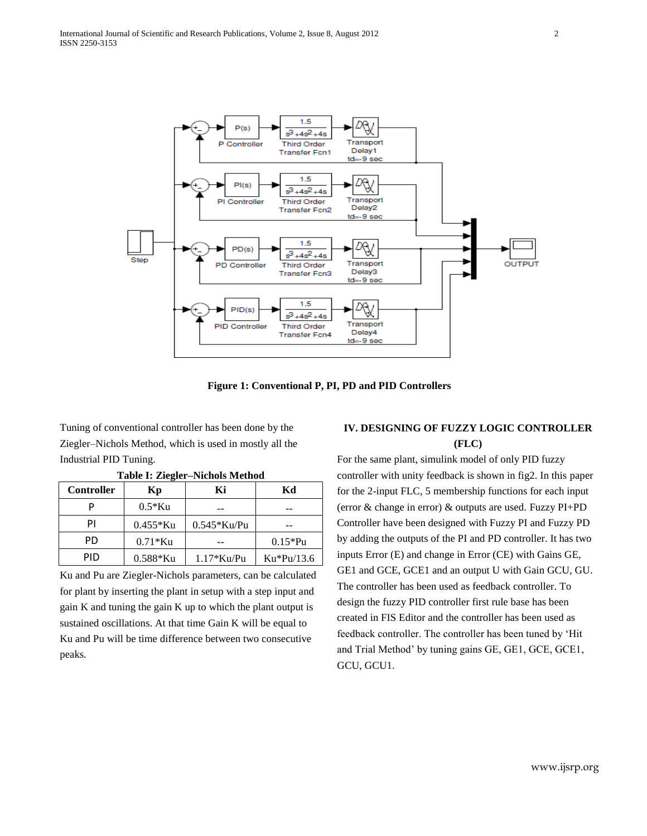

**Figure 1: Conventional P, PI, PD and PID Controllers**

Tuning of conventional controller has been done by the Ziegler–Nichols Method, which is used in mostly all the Industrial PID Tuning.

| <b>Controller</b> | Kр          | Кi            | Kd           |  |
|-------------------|-------------|---------------|--------------|--|
|                   | $0.5*$ Ku   |               |              |  |
| ΡI                | $0.455*$ Ku | $0.545*Ku$ Pu |              |  |
| PD.               | $0.71*$ Ku  |               | $0.15*Pu$    |  |
| PID               | $0.588*$ Ku | $1.17*Ku$ Pu  | $Ku*Pu/13.6$ |  |

**Table I: Ziegler–Nichols Method**

Ku and Pu are Ziegler-Nichols parameters, can be calculated for plant by inserting the plant in setup with a step input and gain K and tuning the gain K up to which the plant output is sustained oscillations. At that time Gain K will be equal to Ku and Pu will be time difference between two consecutive peaks.

## **IV. DESIGNING OF FUZZY LOGIC CONTROLLER (FLC)**

For the same plant, simulink model of only PID fuzzy controller with unity feedback is shown in fig2. In this paper for the 2-input FLC, 5 membership functions for each input (error & change in error) & outputs are used. Fuzzy PI+PD Controller have been designed with Fuzzy PI and Fuzzy PD by adding the outputs of the PI and PD controller. It has two inputs Error (E) and change in Error (CE) with Gains GE, GE1 and GCE, GCE1 and an output U with Gain GCU, GU. The controller has been used as feedback controller. To design the fuzzy PID controller first rule base has been created in FIS Editor and the controller has been used as feedback controller. The controller has been tuned by 'Hit and Trial Method' by tuning gains GE, GE1, GCE, GCE1, GCU, GCU1.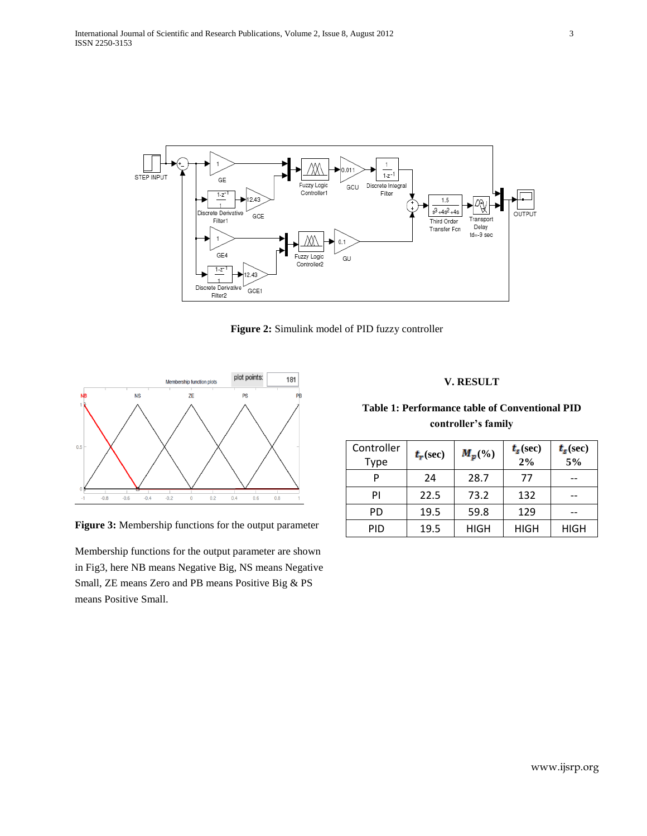

**Figure 2:** Simulink model of PID fuzzy controller



**Figure 3:** Membership functions for the output parameter

Membership functions for the output parameter are shown in Fig3, here NB means Negative Big, NS means Negative Small, ZE means Zero and PB means Positive Big & PS means Positive Small.

#### **V. RESULT**

# **Table 1: Performance table of Conventional PID controller's family**

| Controller<br>Type | $t_r(\sec)$ | $M_p(\%)$ | $t_{s}$ (sec)<br>2% | $t_{s}$ (sec)<br>5% |
|--------------------|-------------|-----------|---------------------|---------------------|
|                    | 24          | 28.7      | 77                  |                     |
| ΡI                 | 22.5        | 73.2      | 132                 |                     |
| PD                 | 19.5        | 59.8      | 129                 |                     |
| PID                | 19.5        | HIGH      | HIGH                | HIGH                |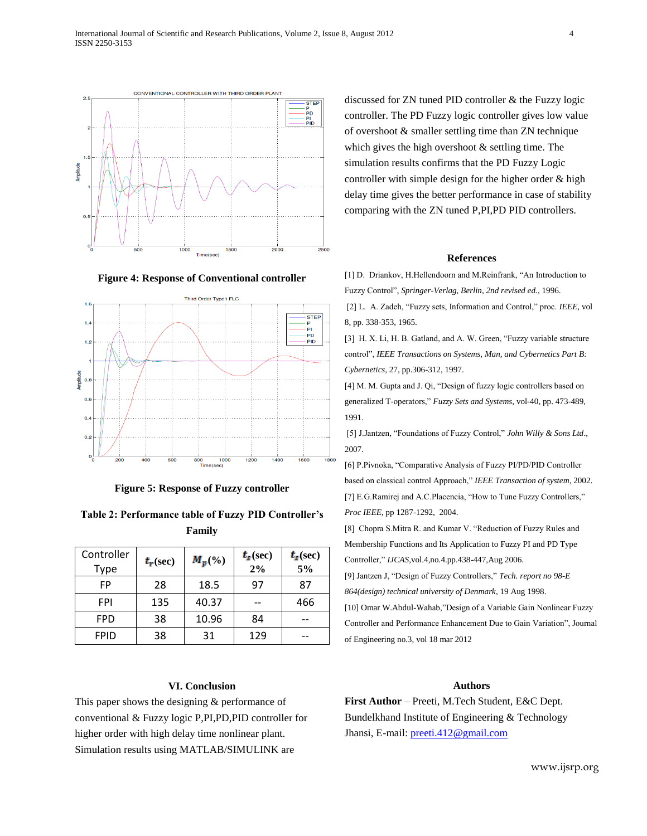

**Figure 4: Response of Conventional controller**



**Figure 5: Response of Fuzzy controller**

| Table 2: Performance table of Fuzzy PID Controller's |  |
|------------------------------------------------------|--|
| Family                                               |  |

| Controller  | $t_r(\sec)$ | $M_p(\%)$ | $t_{s}$ (sec) | $t_{s}$ (sec) |
|-------------|-------------|-----------|---------------|---------------|
| Type        |             |           | 2%            | 5%            |
| FP          | 28          | 18.5      | 97            | 87            |
| FPI         | 135         | 40.37     |               | 466           |
| <b>FPD</b>  | 38          | 10.96     | 84            |               |
| <b>FPID</b> | 38          | 31        | 129           |               |

### **VI. Conclusion**

This paper shows the designing & performance of conventional & Fuzzy logic P,PI,PD,PID controller for higher order with high delay time nonlinear plant. Simulation results using MATLAB/SIMULINK are

discussed for ZN tuned PID controller & the Fuzzy logic controller. The PD Fuzzy logic controller gives low value of overshoot & smaller settling time than ZN technique which gives the high overshoot  $&$  settling time. The simulation results confirms that the PD Fuzzy Logic controller with simple design for the higher order & high delay time gives the better performance in case of stability comparing with the ZN tuned P,PI,PD PID controllers.

#### **References**

[1] D. Driankov, H.Hellendoorn and M.Reinfrank, "An Introduction to Fuzzy Control", *Springer-Verlag, Berlin, 2nd revised ed.*, 1996.

[2] L. A. Zadeh, "Fuzzy sets, Information and Control," proc. *IEEE*, vol 8, pp. 338-353, 1965.

[3] H. X. Li, H. B. Gatland, and A. W. Green, "Fuzzy variable structure control", *IEEE Transactions on Systems, Man, and Cybernetics Part B: Cybernetics*, 27, pp.306-312, 1997.

[4] M. M. Gupta and J. Qi, "Design of fuzzy logic controllers based on generalized T-operators," *Fuzzy Sets and Systems*, vol-40, pp. 473-489, 1991.

[5] J.Jantzen, "Foundations of Fuzzy Control," *John Willy & Sons Ltd*., 2007.

[6] P.Pivnoka, "Comparative Analysis of Fuzzy PI/PD/PID Controller based on classical control Approach," *IEEE Transaction of system*, 2002. [7] E.G.Ramirej and A.C.Placencia, "How to Tune Fuzzy Controllers," *Proc IEEE*, pp 1287-1292, 2004.

[8] Chopra S.Mitra R. and Kumar V. "Reduction of Fuzzy Rules and Membership Functions and Its Application to Fuzzy PI and PD Type Controller," *IJCAS*,vol.4,no.4.pp.438-447,Aug 2006.

[9] Jantzen J, "Design of Fuzzy Controllers," *Tech. report no 98-E 864(design) technical university of Denmark*, 19 Aug 1998.

[10] Omar W.Abdul-Wahab,"Design of a Variable Gain Nonlinear Fuzzy Controller and Performance Enhancement Due to Gain Variation", Journal of Engineering no.3, vol 18 mar 2012

## **Authors**

**First Author** – Preeti, M.Tech Student, E&C Dept. Bundelkhand Institute of Engineering & Technology Jhansi, E-mail: [preeti.412@gmail.com](mailto:preeti.412@gmail.com)

www.ijsrp.org